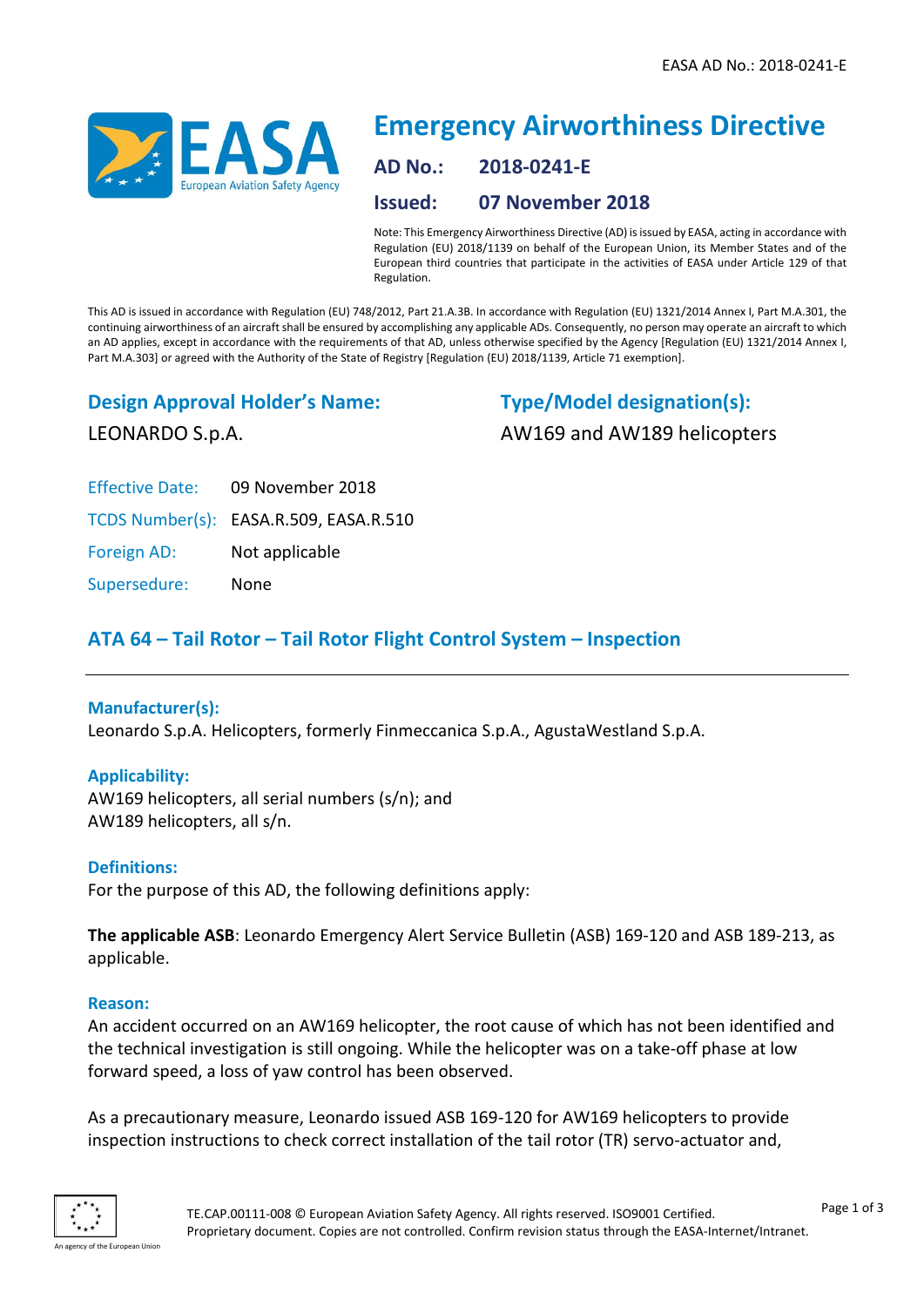

# **Emergency Airworthiness Directive AD No.: 2018-0241-E Issued: 07 November 2018**

Note: This Emergency Airworthiness Directive (AD) is issued by EASA, acting in accordance with Regulation (EU) 2018/1139 on behalf of the European Union, its Member States and of the European third countries that participate in the activities of EASA under Article 129 of that Regulation.

This AD is issued in accordance with Regulation (EU) 748/2012, Part 21.A.3B. In accordance with Regulation (EU) 1321/2014 Annex I, Part M.A.301, the continuing airworthiness of an aircraft shall be ensured by accomplishing any applicable ADs. Consequently, no person may operate an aircraft to which an AD applies, except in accordance with the requirements of that AD, unless otherwise specified by the Agency [Regulation (EU) 1321/2014 Annex I, Part M.A.303] or agreed with the Authority of the State of Registry [Regulation (EU) 2018/1139, Article 71 exemption].

## **Design Approval Holder's Name:**

LEONARDO S.p.A.

**Type/Model designation(s):** AW169 and AW189 helicopters

Effective Date: 09 November 2018

TCDS Number(s): EASA.R.509, EASA.R.510

Foreign AD: Not applicable

Supersedure: None

# **ATA 64 – Tail Rotor – Tail Rotor Flight Control System – Inspection**

## **Manufacturer(s):**

Leonardo S.p.A. Helicopters, formerly Finmeccanica S.p.A., AgustaWestland S.p.A.

## **Applicability:**

AW169 helicopters, all serial numbers (s/n); and AW189 helicopters, all s/n.

## **Definitions:**

For the purpose of this AD, the following definitions apply:

**The applicable ASB**: Leonardo Emergency Alert Service Bulletin (ASB) 169-120 and ASB 189-213, as applicable.

## **Reason:**

An accident occurred on an AW169 helicopter, the root cause of which has not been identified and the technical investigation is still ongoing. While the helicopter was on a take-off phase at low forward speed, a loss of yaw control has been observed.

As a precautionary measure, Leonardo issued ASB 169-120 for AW169 helicopters to provide inspection instructions to check correct installation of the tail rotor (TR) servo-actuator and,

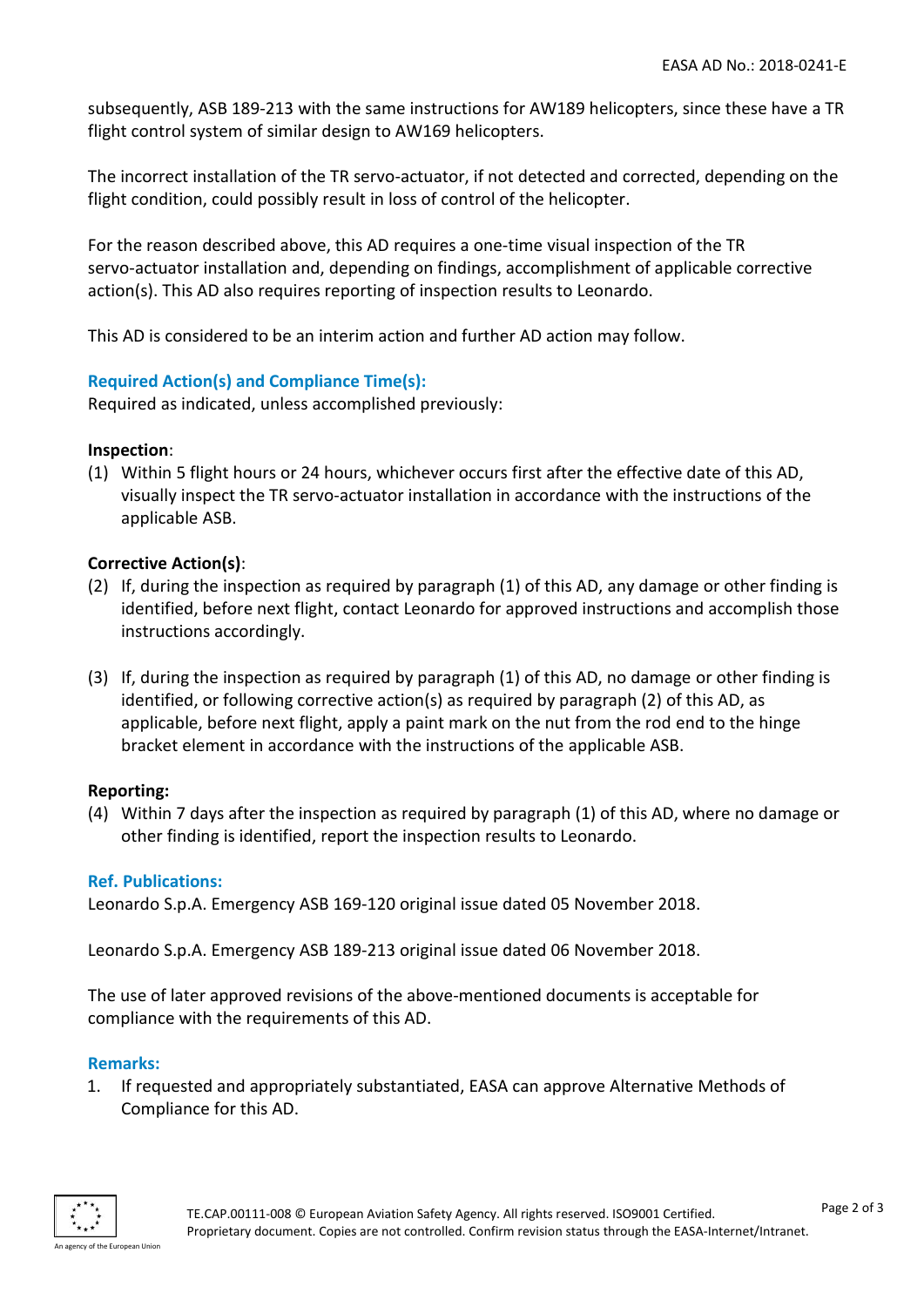subsequently, ASB 189-213 with the same instructions for AW189 helicopters, since these have a TR flight control system of similar design to AW169 helicopters.

The incorrect installation of the TR servo-actuator, if not detected and corrected, depending on the flight condition, could possibly result in loss of control of the helicopter.

For the reason described above, this AD requires a one-time visual inspection of the TR servo-actuator installation and, depending on findings, accomplishment of applicable corrective action(s). This AD also requires reporting of inspection results to Leonardo.

This AD is considered to be an interim action and further AD action may follow.

## **Required Action(s) and Compliance Time(s):**

Required as indicated, unless accomplished previously:

## **Inspection**:

(1) Within 5 flight hours or 24 hours, whichever occurs first after the effective date of this AD, visually inspect the TR servo-actuator installation in accordance with the instructions of the applicable ASB.

## **Corrective Action(s)**:

- (2) If, during the inspection as required by paragraph (1) of this AD, any damage or other finding is identified, before next flight, contact Leonardo for approved instructions and accomplish those instructions accordingly.
- (3) If, during the inspection as required by paragraph (1) of this AD, no damage or other finding is identified, or following corrective action(s) as required by paragraph (2) of this AD, as applicable, before next flight, apply a paint mark on the nut from the rod end to the hinge bracket element in accordance with the instructions of the applicable ASB.

## **Reporting:**

(4) Within 7 days after the inspection as required by paragraph (1) of this AD, where no damage or other finding is identified, report the inspection results to Leonardo.

## **Ref. Publications:**

Leonardo S.p.A. Emergency ASB 169-120 original issue dated 05 November 2018.

Leonardo S.p.A. Emergency ASB 189-213 original issue dated 06 November 2018.

The use of later approved revisions of the above-mentioned documents is acceptable for compliance with the requirements of this AD.

#### **Remarks:**

1. If requested and appropriately substantiated, EASA can approve Alternative Methods of Compliance for this AD.